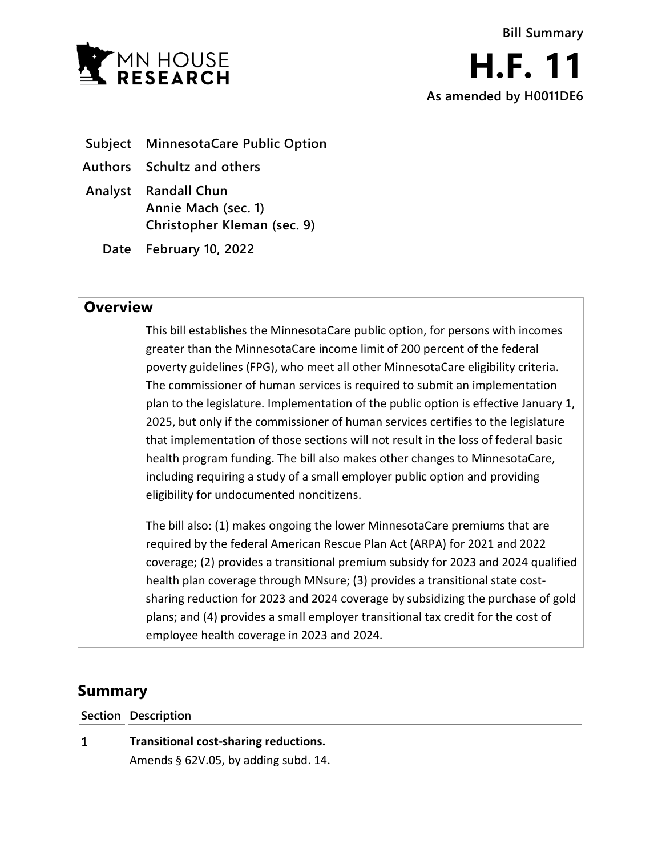

- **Subject MinnesotaCare Public Option**
- **Authors Schultz and others**
- **Analyst Randall Chun Annie Mach (sec. 1) Christopher Kleman (sec. 9)**
	- **Date February 10, 2022**

## **Overview**

This bill establishes the MinnesotaCare public option, for persons with incomes greater than the MinnesotaCare income limit of 200 percent of the federal poverty guidelines (FPG), who meet all other MinnesotaCare eligibility criteria. The commissioner of human services is required to submit an implementation plan to the legislature. Implementation of the public option is effective January 1, 2025, but only if the commissioner of human services certifies to the legislature that implementation of those sections will not result in the loss of federal basic health program funding. The bill also makes other changes to MinnesotaCare, including requiring a study of a small employer public option and providing eligibility for undocumented noncitizens.

The bill also: (1) makes ongoing the lower MinnesotaCare premiums that are required by the federal American Rescue Plan Act (ARPA) for 2021 and 2022 coverage; (2) provides a transitional premium subsidy for 2023 and 2024 qualified health plan coverage through MNsure; (3) provides a transitional state costsharing reduction for 2023 and 2024 coverage by subsidizing the purchase of gold plans; and (4) provides a small employer transitional tax credit for the cost of employee health coverage in 2023 and 2024.

# **Summary**

**Section Description**

 $\mathbf{1}$ **Transitional cost-sharing reductions.** Amends § 62V.05, by adding subd. 14.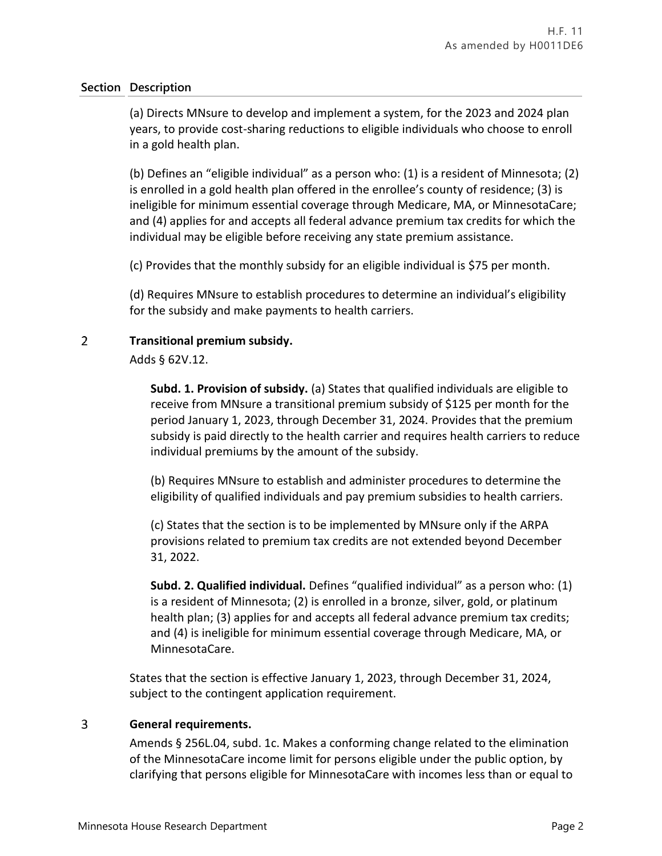(a) Directs MNsure to develop and implement a system, for the 2023 and 2024 plan years, to provide cost-sharing reductions to eligible individuals who choose to enroll in a gold health plan.

(b) Defines an "eligible individual" as a person who: (1) is a resident of Minnesota; (2) is enrolled in a gold health plan offered in the enrollee's county of residence; (3) is ineligible for minimum essential coverage through Medicare, MA, or MinnesotaCare; and (4) applies for and accepts all federal advance premium tax credits for which the individual may be eligible before receiving any state premium assistance.

(c) Provides that the monthly subsidy for an eligible individual is \$75 per month.

(d) Requires MNsure to establish procedures to determine an individual's eligibility for the subsidy and make payments to health carriers.

#### $\overline{2}$ **Transitional premium subsidy.**

Adds § 62V.12.

**Subd. 1. Provision of subsidy.** (a) States that qualified individuals are eligible to receive from MNsure a transitional premium subsidy of \$125 per month for the period January 1, 2023, through December 31, 2024. Provides that the premium subsidy is paid directly to the health carrier and requires health carriers to reduce individual premiums by the amount of the subsidy.

(b) Requires MNsure to establish and administer procedures to determine the eligibility of qualified individuals and pay premium subsidies to health carriers.

(c) States that the section is to be implemented by MNsure only if the ARPA provisions related to premium tax credits are not extended beyond December 31, 2022.

**Subd. 2. Qualified individual.** Defines "qualified individual" as a person who: (1) is a resident of Minnesota; (2) is enrolled in a bronze, silver, gold, or platinum health plan; (3) applies for and accepts all federal advance premium tax credits; and (4) is ineligible for minimum essential coverage through Medicare, MA, or MinnesotaCare.

States that the section is effective January 1, 2023, through December 31, 2024, subject to the contingent application requirement.

#### $\overline{3}$ **General requirements.**

Amends § 256L.04, subd. 1c. Makes a conforming change related to the elimination of the MinnesotaCare income limit for persons eligible under the public option, by clarifying that persons eligible for MinnesotaCare with incomes less than or equal to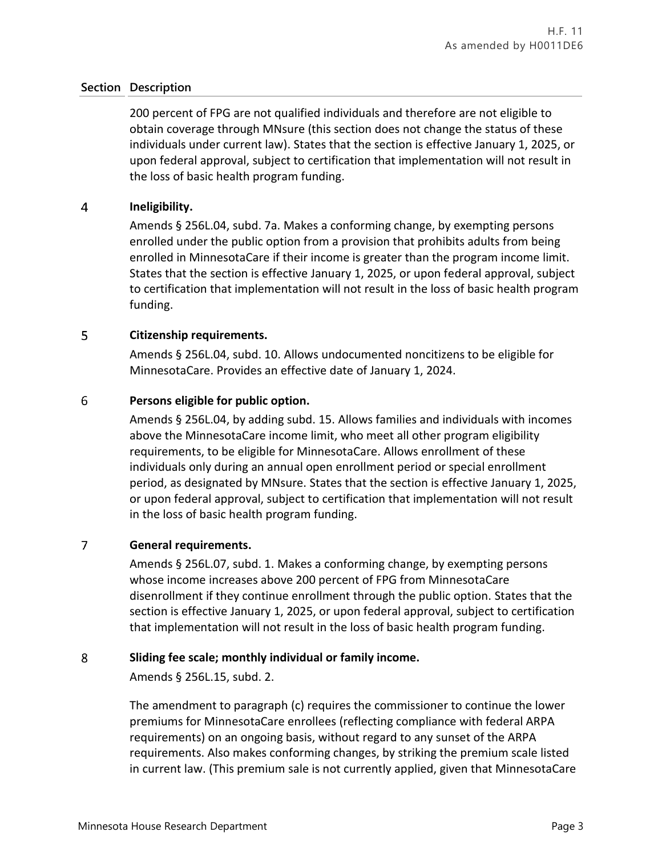200 percent of FPG are not qualified individuals and therefore are not eligible to obtain coverage through MNsure (this section does not change the status of these individuals under current law). States that the section is effective January 1, 2025, or upon federal approval, subject to certification that implementation will not result in the loss of basic health program funding.

#### $\overline{4}$ **Ineligibility.**

Amends § 256L.04, subd. 7a. Makes a conforming change, by exempting persons enrolled under the public option from a provision that prohibits adults from being enrolled in MinnesotaCare if their income is greater than the program income limit. States that the section is effective January 1, 2025, or upon federal approval, subject to certification that implementation will not result in the loss of basic health program funding.

#### 5 **Citizenship requirements.**

Amends § 256L.04, subd. 10. Allows undocumented noncitizens to be eligible for MinnesotaCare. Provides an effective date of January 1, 2024.

#### 6 **Persons eligible for public option.**

Amends § 256L.04, by adding subd. 15. Allows families and individuals with incomes above the MinnesotaCare income limit, who meet all other program eligibility requirements, to be eligible for MinnesotaCare. Allows enrollment of these individuals only during an annual open enrollment period or special enrollment period, as designated by MNsure. States that the section is effective January 1, 2025, or upon federal approval, subject to certification that implementation will not result in the loss of basic health program funding.

#### $\overline{7}$ **General requirements.**

Amends § 256L.07, subd. 1. Makes a conforming change, by exempting persons whose income increases above 200 percent of FPG from MinnesotaCare disenrollment if they continue enrollment through the public option. States that the section is effective January 1, 2025, or upon federal approval, subject to certification that implementation will not result in the loss of basic health program funding.

#### 8 **Sliding fee scale; monthly individual or family income.**

Amends § 256L.15, subd. 2.

The amendment to paragraph (c) requires the commissioner to continue the lower premiums for MinnesotaCare enrollees (reflecting compliance with federal ARPA requirements) on an ongoing basis, without regard to any sunset of the ARPA requirements. Also makes conforming changes, by striking the premium scale listed in current law. (This premium sale is not currently applied, given that MinnesotaCare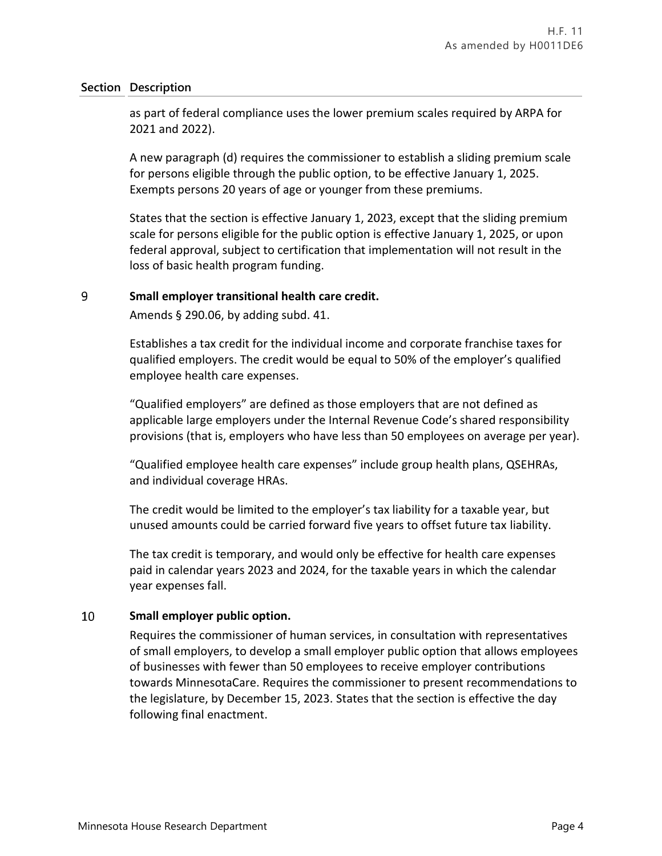as part of federal compliance uses the lower premium scales required by ARPA for 2021 and 2022).

A new paragraph (d) requires the commissioner to establish a sliding premium scale for persons eligible through the public option, to be effective January 1, 2025. Exempts persons 20 years of age or younger from these premiums.

States that the section is effective January 1, 2023, except that the sliding premium scale for persons eligible for the public option is effective January 1, 2025, or upon federal approval, subject to certification that implementation will not result in the loss of basic health program funding.

#### 9 **Small employer transitional health care credit.**

Amends § 290.06, by adding subd. 41.

Establishes a tax credit for the individual income and corporate franchise taxes for qualified employers. The credit would be equal to 50% of the employer's qualified employee health care expenses.

"Qualified employers" are defined as those employers that are not defined as applicable large employers under the Internal Revenue Code's shared responsibility provisions (that is, employers who have less than 50 employees on average per year).

"Qualified employee health care expenses" include group health plans, QSEHRAs, and individual coverage HRAs.

The credit would be limited to the employer's tax liability for a taxable year, but unused amounts could be carried forward five years to offset future tax liability.

The tax credit is temporary, and would only be effective for health care expenses paid in calendar years 2023 and 2024, for the taxable years in which the calendar year expenses fall.

#### 10 **Small employer public option.**

Requires the commissioner of human services, in consultation with representatives of small employers, to develop a small employer public option that allows employees of businesses with fewer than 50 employees to receive employer contributions towards MinnesotaCare. Requires the commissioner to present recommendations to the legislature, by December 15, 2023. States that the section is effective the day following final enactment.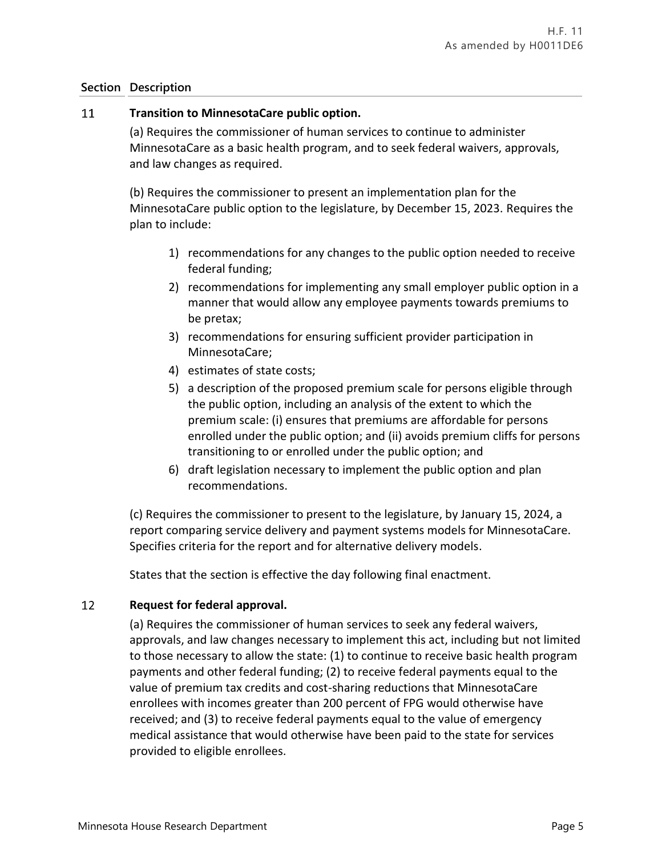#### 11 **Transition to MinnesotaCare public option.**

(a) Requires the commissioner of human services to continue to administer MinnesotaCare as a basic health program, and to seek federal waivers, approvals, and law changes as required.

(b) Requires the commissioner to present an implementation plan for the MinnesotaCare public option to the legislature, by December 15, 2023. Requires the plan to include:

- 1) recommendations for any changes to the public option needed to receive federal funding;
- 2) recommendations for implementing any small employer public option in a manner that would allow any employee payments towards premiums to be pretax;
- 3) recommendations for ensuring sufficient provider participation in MinnesotaCare;
- 4) estimates of state costs;
- 5) a description of the proposed premium scale for persons eligible through the public option, including an analysis of the extent to which the premium scale: (i) ensures that premiums are affordable for persons enrolled under the public option; and (ii) avoids premium cliffs for persons transitioning to or enrolled under the public option; and
- 6) draft legislation necessary to implement the public option and plan recommendations.

(c) Requires the commissioner to present to the legislature, by January 15, 2024, a report comparing service delivery and payment systems models for MinnesotaCare. Specifies criteria for the report and for alternative delivery models.

States that the section is effective the day following final enactment.

#### 12 **Request for federal approval.**

(a) Requires the commissioner of human services to seek any federal waivers, approvals, and law changes necessary to implement this act, including but not limited to those necessary to allow the state: (1) to continue to receive basic health program payments and other federal funding; (2) to receive federal payments equal to the value of premium tax credits and cost-sharing reductions that MinnesotaCare enrollees with incomes greater than 200 percent of FPG would otherwise have received; and (3) to receive federal payments equal to the value of emergency medical assistance that would otherwise have been paid to the state for services provided to eligible enrollees.